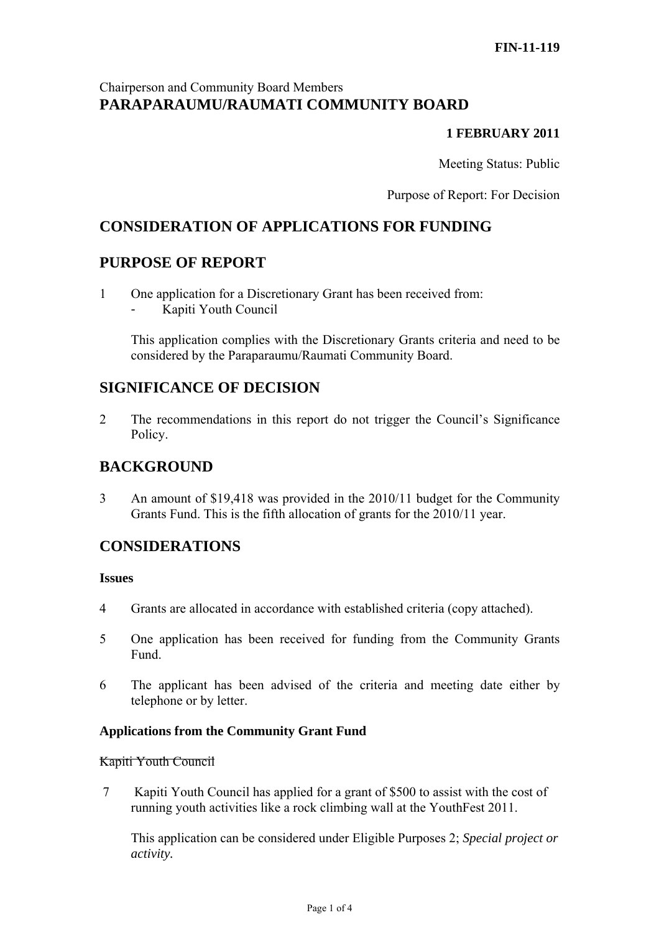## Chairperson and Community Board Members **PARAPARAUMU/RAUMATI COMMUNITY BOARD**

### **1 FEBRUARY 2011**

Meeting Status: Public

Purpose of Report: For Decision

# **CONSIDERATION OF APPLICATIONS FOR FUNDING**

## **PURPOSE OF REPORT**

- 1 One application for a Discretionary Grant has been received from:
	- Kapiti Youth Council

This application complies with the Discretionary Grants criteria and need to be considered by the Paraparaumu/Raumati Community Board.

## **SIGNIFICANCE OF DECISION**

2 The recommendations in this report do not trigger the Council's Significance Policy.

# **BACKGROUND**

3 An amount of \$19,418 was provided in the 2010/11 budget for the Community Grants Fund. This is the fifth allocation of grants for the 2010/11 year.

## **CONSIDERATIONS**

#### **Issues**

- 4 Grants are allocated in accordance with established criteria (copy attached).
- 5 One application has been received for funding from the Community Grants Fund.
- 6 The applicant has been advised of the criteria and meeting date either by telephone or by letter.

#### **Applications from the Community Grant Fund**

#### Kapiti Youth Council

 7 Kapiti Youth Council has applied for a grant of \$500 to assist with the cost of running youth activities like a rock climbing wall at the YouthFest 2011.

This application can be considered under Eligible Purposes 2; *Special project or activity.*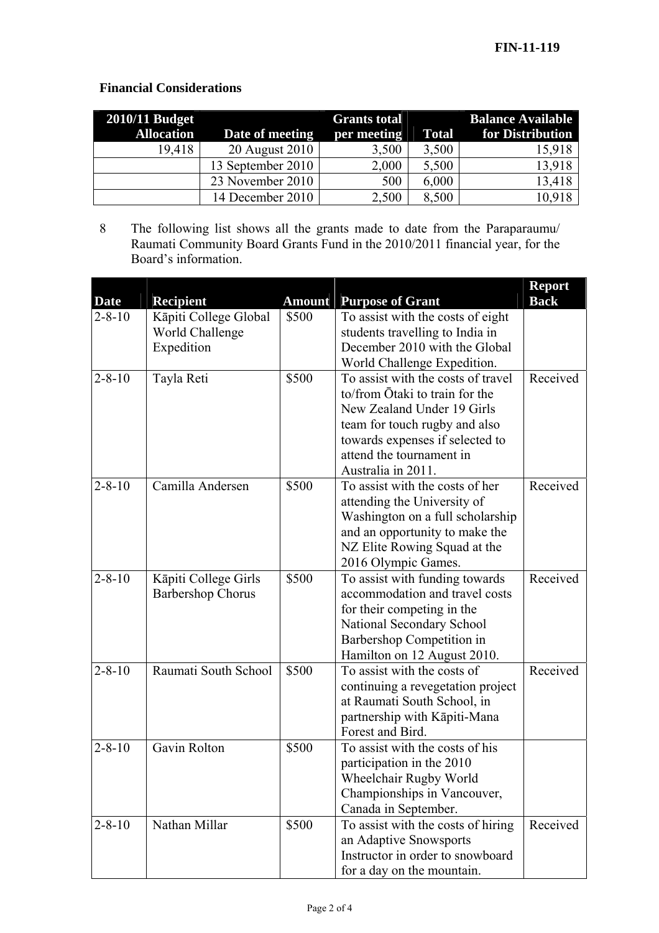## **Financial Considerations**

| $2010/11$ Budget  | <b>Grants total</b> |             |              | <b>Balance Available</b> |  |
|-------------------|---------------------|-------------|--------------|--------------------------|--|
| <b>Allocation</b> | Date of meeting     | per meeting | <b>Total</b> | for Distribution         |  |
| 19,418            | 20 August 2010      | 3,500       | 3,500        | 15,918                   |  |
|                   | 13 September 2010   | 2,000       | 5,500        | 13,918                   |  |
|                   | 23 November 2010    | 500         | 6,000        | 13,418                   |  |
|                   | 14 December 2010    | 2,500       | 8,500        | 10,918                   |  |

8 The following list shows all the grants made to date from the Paraparaumu/ Raumati Community Board Grants Fund in the 2010/2011 financial year, for the Board's information.

|                             |                               |                        |                                                                    | <b>Report</b> |
|-----------------------------|-------------------------------|------------------------|--------------------------------------------------------------------|---------------|
| <b>Date</b><br>$2 - 8 - 10$ | <b>Recipient</b>              | <b>Amount</b><br>\$500 | <b>Purpose of Grant</b>                                            | <b>Back</b>   |
|                             | Kāpiti College Global         |                        | To assist with the costs of eight                                  |               |
|                             | World Challenge<br>Expedition |                        | students travelling to India in<br>December 2010 with the Global   |               |
|                             |                               |                        |                                                                    |               |
| $2 - 8 - 10$                |                               | \$500                  | World Challenge Expedition.<br>To assist with the costs of travel  | Received      |
|                             | Tayla Reti                    |                        | to/from Ōtaki to train for the                                     |               |
|                             |                               |                        | New Zealand Under 19 Girls                                         |               |
|                             |                               |                        |                                                                    |               |
|                             |                               |                        | team for touch rugby and also                                      |               |
|                             |                               |                        | towards expenses if selected to<br>attend the tournament in        |               |
|                             |                               |                        | Australia in 2011.                                                 |               |
|                             | Camilla Andersen              | \$500                  | To assist with the costs of her                                    | Received      |
| $2 - 8 - 10$                |                               |                        |                                                                    |               |
|                             |                               |                        | attending the University of                                        |               |
|                             |                               |                        | Washington on a full scholarship<br>and an opportunity to make the |               |
|                             |                               |                        |                                                                    |               |
|                             |                               |                        | NZ Elite Rowing Squad at the                                       |               |
| $2 - 8 - 10$                | Kāpiti College Girls          | \$500                  | 2016 Olympic Games.<br>To assist with funding towards              | Received      |
|                             | <b>Barbershop Chorus</b>      |                        | accommodation and travel costs                                     |               |
|                             |                               |                        |                                                                    |               |
|                             |                               |                        | for their competing in the<br>National Secondary School            |               |
|                             |                               |                        | Barbershop Competition in                                          |               |
|                             |                               |                        | Hamilton on 12 August 2010.                                        |               |
| $2 - 8 - 10$                | Raumati South School          | \$500                  | To assist with the costs of                                        | Received      |
|                             |                               |                        | continuing a revegetation project                                  |               |
|                             |                               |                        | at Raumati South School, in                                        |               |
|                             |                               |                        | partnership with Kāpiti-Mana                                       |               |
|                             |                               |                        | Forest and Bird.                                                   |               |
| $2 - 8 - 10$                | Gavin Rolton                  | \$500                  | To assist with the costs of his                                    |               |
|                             |                               |                        | participation in the 2010                                          |               |
|                             |                               |                        | Wheelchair Rugby World                                             |               |
|                             |                               |                        | Championships in Vancouver,                                        |               |
|                             |                               |                        | Canada in September.                                               |               |
| $2 - 8 - 10$                | Nathan Millar                 | \$500                  | To assist with the costs of hiring                                 | Received      |
|                             |                               |                        | an Adaptive Snowsports                                             |               |
|                             |                               |                        | Instructor in order to snowboard                                   |               |
|                             |                               |                        | for a day on the mountain.                                         |               |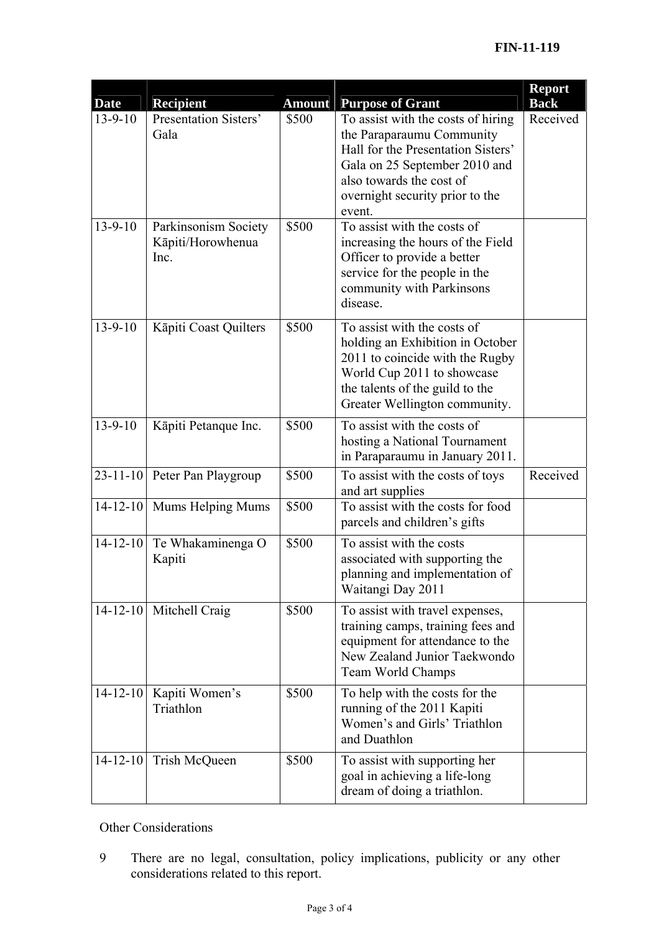|                              |                                                                        |               |                                                                                                                                                                                                                 | <b>Report</b> |
|------------------------------|------------------------------------------------------------------------|---------------|-----------------------------------------------------------------------------------------------------------------------------------------------------------------------------------------------------------------|---------------|
| <b>Date</b><br>$13 - 9 - 10$ | <b>Recipient</b>                                                       | <b>Amount</b> | <b>Purpose of Grant</b>                                                                                                                                                                                         | <b>Back</b>   |
|                              | Presentation Sisters'<br>Gala                                          | \$500         | To assist with the costs of hiring<br>the Paraparaumu Community<br>Hall for the Presentation Sisters'<br>Gala on 25 September 2010 and<br>also towards the cost of<br>overnight security prior to the<br>event. | Received      |
| $13 - 9 - 10$                | Parkinsonism Society<br>\$500<br>Kāpiti/Horowhenua<br>Inc.<br>disease. |               | To assist with the costs of<br>increasing the hours of the Field<br>Officer to provide a better<br>service for the people in the<br>community with Parkinsons                                                   |               |
| $13 - 9 - 10$                | Kāpiti Coast Quilters                                                  | \$500         | To assist with the costs of<br>holding an Exhibition in October<br>2011 to coincide with the Rugby<br>World Cup 2011 to showcase<br>the talents of the guild to the<br>Greater Wellington community.            |               |
| $13 - 9 - 10$                | Kāpiti Petanque Inc.                                                   | \$500         | To assist with the costs of<br>hosting a National Tournament<br>in Paraparaumu in January 2011.                                                                                                                 |               |
| $23 - 11 - 10$               | Peter Pan Playgroup                                                    | \$500         | To assist with the costs of toys<br>and art supplies                                                                                                                                                            | Received      |
| $14 - 12 - 10$               | Mums Helping Mums                                                      | \$500         | To assist with the costs for food<br>parcels and children's gifts                                                                                                                                               |               |
| $14 - 12 - 10$               | Te Whakaminenga O<br>Kapiti                                            | \$500         | To assist with the costs<br>associated with supporting the<br>planning and implementation of<br>Waitangi Day 2011                                                                                               |               |
| $14 - 12 - 10$               | Mitchell Craig                                                         | \$500         | To assist with travel expenses,<br>training camps, training fees and<br>equipment for attendance to the<br>New Zealand Junior Taekwondo<br>Team World Champs                                                    |               |
| $14 - 12 - 10$               | Kapiti Women's<br>Triathlon                                            | \$500         | To help with the costs for the<br>running of the 2011 Kapiti<br>Women's and Girls' Triathlon<br>and Duathlon                                                                                                    |               |
| $14 - 12 - 10$               | Trish McQueen                                                          | \$500         | To assist with supporting her<br>goal in achieving a life-long<br>dream of doing a triathlon.                                                                                                                   |               |

Other Considerations

9 There are no legal, consultation, policy implications, publicity or any other considerations related to this report.